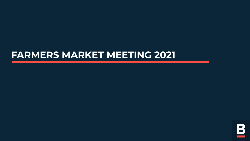### **FARMERS MARKET MEETING 2021**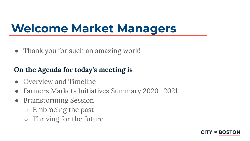### **Welcome Market Managers**

• Thank you for such an amazing work!

### **On the Agenda for today's meeting is**

- **●** Overview and Timeline
- **●** Farmers Markets Initiatives Summary 2020- 2021
- **●** Brainstorming Session
	- Embracing the past
	- Thriving for the future

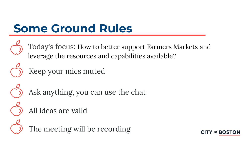# **Some Ground Rules**

Today's focus: How to better support Farmers Markets and leverage the resources and capabilities available?



### Keep your mics muted



Ask anything, you can use the chat

All ideas are valid

The meeting will be recording

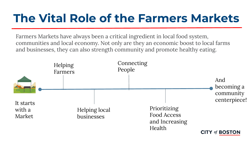### **The Vital Role of the Farmers Markets**

Farmers Markets have always been a critical ingredient in local food system, communities and local economy. Not only are they an economic boost to local farms and businesses, they can also strength community and promote healthy eating.

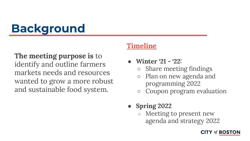# **Background**

**The meeting purpose is** to identify and outline farmers markets needs and resources wanted to grow a more robust and sustainable food system.

#### **Timeline**

- **Winter '21 '22:**
	- Share meeting findings
	- Plan on new agenda and programming 2022
	- Coupon program evaluation
- **● Spring 2022**
	- Meeting to present new agenda and strategy 2022

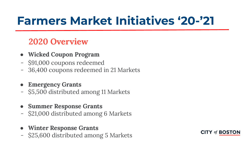### **Farmers Market Initiatives '20-'21**

### **2020 Overview**

- **● Wicked Coupon Program**
- \$91,000 coupons redeemed
- 36,400 coupons redeemed in 21 Markets
- **● Emergency Grants**
- \$5,500 distributed among 11 Markets
- **● Summer Response Grants**
- \$21,000 distributed among 6 Markets
- **● Winter Response Grants**
- \$25,600 distributed among 5 Markets

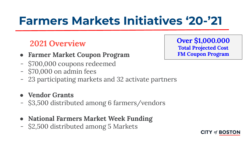### **Farmers Markets Initiatives '20-'21**

- **● Farmer Market Coupon Program**
- \$700,000 coupons redeemed
- \$70,000 on admin fees
- 23 participating markets and 32 activate partners
- **● Vendor Grants**
- \$3,500 distributed among 6 farmers/vendors
- **● National Farmers Market Week Funding**
- \$2,500 distributed among 5 Markets

**2021 Overview 12021 Over \$1,000.000 Total Projected Cost FM Coupon Program** 

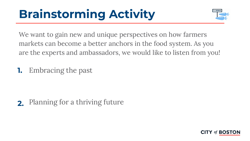# **Brainstorming Activity**



We want to gain new and unique perspectives on how farmers markets can become a better anchors in the food system. As you are the experts and ambassadors, we would like to listen from you!

**1.** Embracing the past

**2.** Planning for a thriving future